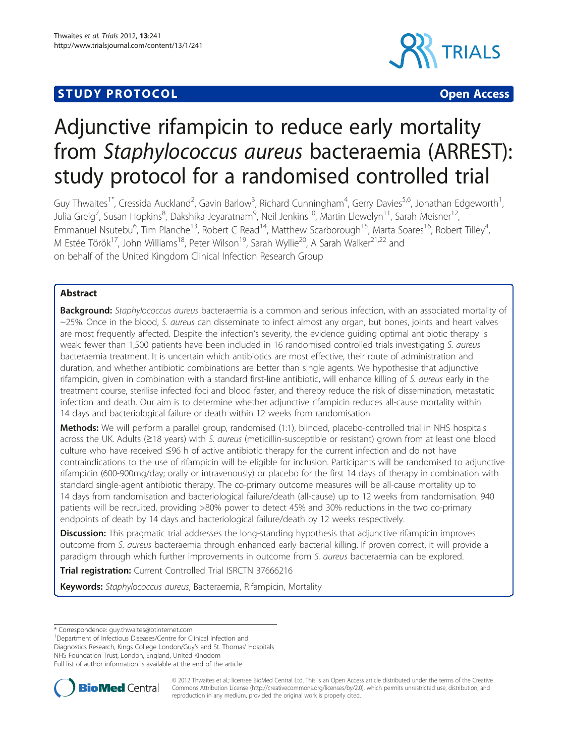## **STUDY PROTOCOL CONSUMING THE CONSUMING OPEN ACCESS**



# Adjunctive rifampicin to reduce early mortality from Staphylococcus aureus bacteraemia (ARREST): study protocol for a randomised controlled trial

Guy Thwaites<sup>1\*</sup>, Cressida Auckland<sup>2</sup>, Gavin Barlow<sup>3</sup>, Richard Cunningham<sup>4</sup>, Gerry Davies<sup>5,6</sup>, Jonathan Edgeworth<sup>1</sup> , Julia Greig<sup>7</sup>, Susan Hopkins<sup>8</sup>, Dakshika Jeyaratnam<sup>9</sup>, Neil Jenkins<sup>10</sup>, Martin Llewelyn<sup>11</sup>, Sarah Meisner<sup>12</sup>, Emmanuel Nsutebu<sup>6</sup>, Tim Planche<sup>13</sup>, Robert C Read<sup>14</sup>, Matthew Scarborough<sup>15</sup>, Marta Soares<sup>16</sup>, Robert Tilley<sup>4</sup> , M Estée Török<sup>17</sup>, John Williams<sup>18</sup>, Peter Wilson<sup>19</sup>, Sarah Wyllie<sup>20</sup>, A Sarah Walker<sup>21,22</sup> and on behalf of the United Kingdom Clinical Infection Research Group

## Abstract

Background: Staphylococcus aureus bacteraemia is a common and serious infection, with an associated mortality of  $\sim$ 25%. Once in the blood, S. *aureus* can disseminate to infect almost any organ, but bones, joints and heart valves are most frequently affected. Despite the infection's severity, the evidence guiding optimal antibiotic therapy is weak: fewer than 1,500 patients have been included in 16 randomised controlled trials investigating S. aureus bacteraemia treatment. It is uncertain which antibiotics are most effective, their route of administration and duration, and whether antibiotic combinations are better than single agents. We hypothesise that adjunctive rifampicin, given in combination with a standard first-line antibiotic, will enhance killing of S. aureus early in the treatment course, sterilise infected foci and blood faster, and thereby reduce the risk of dissemination, metastatic infection and death. Our aim is to determine whether adjunctive rifampicin reduces all-cause mortality within 14 days and bacteriological failure or death within 12 weeks from randomisation.

Methods: We will perform a parallel group, randomised (1:1), blinded, placebo-controlled trial in NHS hospitals across the UK. Adults (≥18 years) with S. aureus (meticillin-susceptible or resistant) grown from at least one blood culture who have received ≤96 h of active antibiotic therapy for the current infection and do not have contraindications to the use of rifampicin will be eligible for inclusion. Participants will be randomised to adjunctive rifampicin (600-900mg/day; orally or intravenously) or placebo for the first 14 days of therapy in combination with standard single-agent antibiotic therapy. The co-primary outcome measures will be all-cause mortality up to 14 days from randomisation and bacteriological failure/death (all-cause) up to 12 weeks from randomisation. 940 patients will be recruited, providing >80% power to detect 45% and 30% reductions in the two co-primary endpoints of death by 14 days and bacteriological failure/death by 12 weeks respectively.

**Discussion:** This pragmatic trial addresses the long-standing hypothesis that adjunctive rifampicin improves outcome from S. aureus bacteraemia through enhanced early bacterial killing. If proven correct, it will provide a paradigm through which further improvements in outcome from S. aureus bacteraemia can be explored.

Trial registration: Current Controlled Trial ISRCTN 37666216

Keywords: Staphylococcus aureus, Bacteraemia, Rifampicin, Mortality

\* Correspondence: [guy.thwaites@btinternet.com](mailto:guy.thwaites@btinternet.com) <sup>1</sup>

Department of Infectious Diseases/Centre for Clinical Infection and

Diagnostics Research, Kings College London/Guy's and St. Thomas' Hospitals NHS Foundation Trust, London, England, United Kingdom

Full list of author information is available at the end of the article



© 2012 Thwaites et al.; licensee BioMed Central Ltd. This is an Open Access article distributed under the terms of the Creative Commons Attribution License [\(http://creativecommons.org/licenses/by/2.0\)](http://creativecommons.org/licenses/by/2.0), which permits unrestricted use, distribution, and reproduction in any medium, provided the original work is properly cited.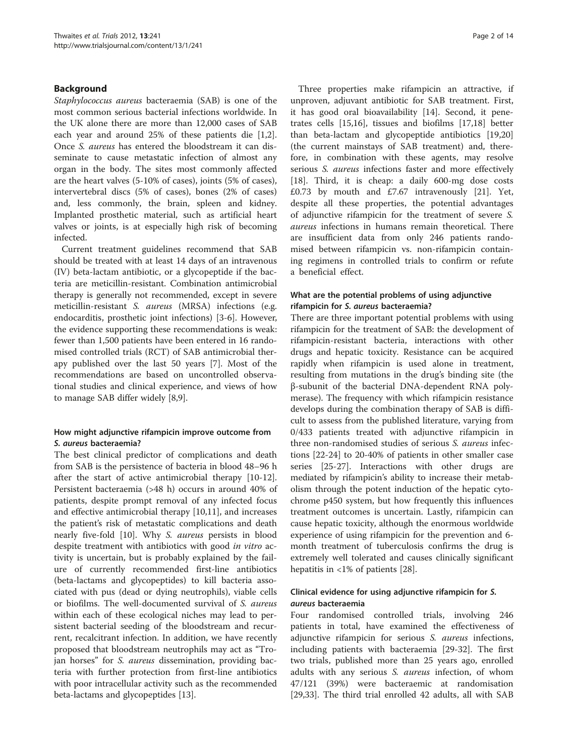## Background

Staphylococcus aureus bacteraemia (SAB) is one of the most common serious bacterial infections worldwide. In the UK alone there are more than 12,000 cases of SAB each year and around 25% of these patients die [\[1,2](#page-13-0)]. Once S. aureus has entered the bloodstream it can disseminate to cause metastatic infection of almost any organ in the body. The sites most commonly affected are the heart valves (5-10% of cases), joints (5% of cases), intervertebral discs (5% of cases), bones (2% of cases) and, less commonly, the brain, spleen and kidney. Implanted prosthetic material, such as artificial heart valves or joints, is at especially high risk of becoming infected.

Current treatment guidelines recommend that SAB should be treated with at least 14 days of an intravenous (IV) beta-lactam antibiotic, or a glycopeptide if the bacteria are meticillin-resistant. Combination antimicrobial therapy is generally not recommended, except in severe meticillin-resistant S. aureus (MRSA) infections (e.g. endocarditis, prosthetic joint infections) [[3-6](#page-13-0)]. However, the evidence supporting these recommendations is weak: fewer than 1,500 patients have been entered in 16 randomised controlled trials (RCT) of SAB antimicrobial therapy published over the last 50 years [\[7](#page-13-0)]. Most of the recommendations are based on uncontrolled observational studies and clinical experience, and views of how to manage SAB differ widely [[8,9\]](#page-13-0).

## How might adjunctive rifampicin improve outcome from S. aureus bacteraemia?

The best clinical predictor of complications and death from SAB is the persistence of bacteria in blood 48–96 h after the start of active antimicrobial therapy [\[10-12](#page-13-0)]. Persistent bacteraemia (>48 h) occurs in around 40% of patients, despite prompt removal of any infected focus and effective antimicrobial therapy [\[10,11](#page-13-0)], and increases the patient's risk of metastatic complications and death nearly five-fold [[10\]](#page-13-0). Why S. aureus persists in blood despite treatment with antibiotics with good in vitro activity is uncertain, but is probably explained by the failure of currently recommended first-line antibiotics (beta-lactams and glycopeptides) to kill bacteria associated with pus (dead or dying neutrophils), viable cells or biofilms. The well-documented survival of S. aureus within each of these ecological niches may lead to persistent bacterial seeding of the bloodstream and recurrent, recalcitrant infection. In addition, we have recently proposed that bloodstream neutrophils may act as "Trojan horses" for S. aureus dissemination, providing bacteria with further protection from first-line antibiotics with poor intracellular activity such as the recommended beta-lactams and glycopeptides [\[13](#page-13-0)].

Three properties make rifampicin an attractive, if unproven, adjuvant antibiotic for SAB treatment. First, it has good oral bioavailability [\[14](#page-13-0)]. Second, it penetrates cells [[15,16](#page-13-0)], tissues and biofilms [\[17,18](#page-13-0)] better than beta-lactam and glycopeptide antibiotics [[19](#page-13-0),[20](#page-13-0)] (the current mainstays of SAB treatment) and, therefore, in combination with these agents, may resolve serious S. aureus infections faster and more effectively [[18\]](#page-13-0). Third, it is cheap: a daily 600-mg dose costs £0.73 by mouth and £7.67 intravenously [\[21](#page-13-0)]. Yet, despite all these properties, the potential advantages of adjunctive rifampicin for the treatment of severe S. aureus infections in humans remain theoretical. There are insufficient data from only 246 patients randomised between rifampicin vs. non-rifampicin containing regimens in controlled trials to confirm or refute a beneficial effect.

## What are the potential problems of using adjunctive rifampicin for S. aureus bacteraemia?

There are three important potential problems with using rifampicin for the treatment of SAB: the development of rifampicin-resistant bacteria, interactions with other drugs and hepatic toxicity. Resistance can be acquired rapidly when rifampicin is used alone in treatment, resulting from mutations in the drug's binding site (the β-subunit of the bacterial DNA-dependent RNA polymerase). The frequency with which rifampicin resistance develops during the combination therapy of SAB is difficult to assess from the published literature, varying from 0/433 patients treated with adjunctive rifampicin in three non-randomised studies of serious S. aureus infections [\[22-24](#page-13-0)] to 20-40% of patients in other smaller case series [[25-27](#page-13-0)]. Interactions with other drugs are mediated by rifampicin's ability to increase their metabolism through the potent induction of the hepatic cytochrome p450 system, but how frequently this influences treatment outcomes is uncertain. Lastly, rifampicin can cause hepatic toxicity, although the enormous worldwide experience of using rifampicin for the prevention and 6 month treatment of tuberculosis confirms the drug is extremely well tolerated and causes clinically significant hepatitis in <1% of patients [\[28](#page-13-0)].

## Clinical evidence for using adjunctive rifampicin for S. aureus bacteraemia

Four randomised controlled trials, involving 246 patients in total, have examined the effectiveness of adjunctive rifampicin for serious S. aureus infections, including patients with bacteraemia [[29-32](#page-13-0)]. The first two trials, published more than 25 years ago, enrolled adults with any serious S. *aureus* infection, of whom 47/121 (39%) were bacteraemic at randomisation [[29,33\]](#page-13-0). The third trial enrolled 42 adults, all with SAB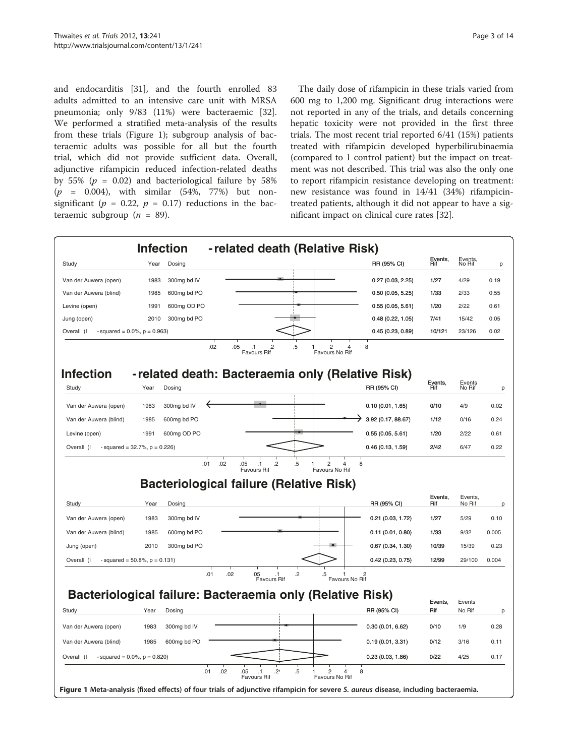<span id="page-2-0"></span>and endocarditis [\[31](#page-13-0)], and the fourth enrolled 83 adults admitted to an intensive care unit with MRSA pneumonia; only 9/83 (11%) were bacteraemic [\[32](#page-13-0)]. We performed a stratified meta-analysis of the results from these trials (Figure 1); subgroup analysis of bacteraemic adults was possible for all but the fourth trial, which did not provide sufficient data. Overall, adjunctive rifampicin reduced infection-related deaths by 55% ( $p = 0.02$ ) and bacteriological failure by 58% (p = 0.004), with similar (54%, 77%) but nonsignificant ( $p = 0.22$ ,  $p = 0.17$ ) reductions in the bacteraemic subgroup ( $n = 89$ ).

The daily dose of rifampicin in these trials varied from 600 mg to 1,200 mg. Significant drug interactions were not reported in any of the trials, and details concerning hepatic toxicity were not provided in the first three trials. The most recent trial reported 6/41 (15%) patients treated with rifampicin developed hyperbilirubinaemia (compared to 1 control patient) but the impact on treatment was not described. This trial was also the only one to report rifampicin resistance developing on treatment: new resistance was found in 14/41 (34%) rifampicintreated patients, although it did not appear to have a significant impact on clinical cure rates [[32\]](#page-13-0).

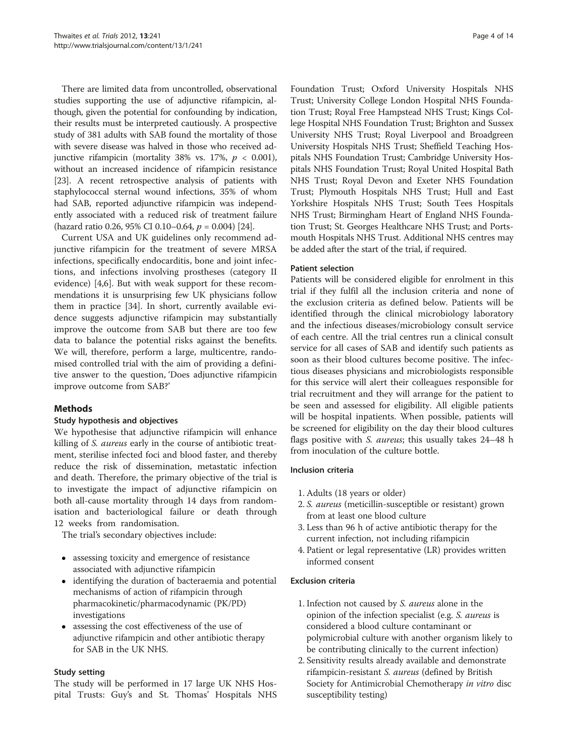There are limited data from uncontrolled, observational studies supporting the use of adjunctive rifampicin, although, given the potential for confounding by indication, their results must be interpreted cautiously. A prospective study of 381 adults with SAB found the mortality of those with severe disease was halved in those who received adjunctive rifampicin (mortality 38% vs. 17%,  $p < 0.001$ ), without an increased incidence of rifampicin resistance [[23](#page-13-0)]. A recent retrospective analysis of patients with staphylococcal sternal wound infections, 35% of whom had SAB, reported adjunctive rifampicin was independently associated with a reduced risk of treatment failure (hazard ratio 0.26, 95% CI 0.10–0.64,  $p = 0.004$ ) [\[24\]](#page-13-0).

Current USA and UK guidelines only recommend adjunctive rifampicin for the treatment of severe MRSA infections, specifically endocarditis, bone and joint infections, and infections involving prostheses (category II evidence) [[4,6\]](#page-13-0). But with weak support for these recommendations it is unsurprising few UK physicians follow them in practice [\[34](#page-13-0)]. In short, currently available evidence suggests adjunctive rifampicin may substantially improve the outcome from SAB but there are too few data to balance the potential risks against the benefits. We will, therefore, perform a large, multicentre, randomised controlled trial with the aim of providing a definitive answer to the question, 'Does adjunctive rifampicin improve outcome from SAB?'

## Methods

## Study hypothesis and objectives

We hypothesise that adjunctive rifampicin will enhance killing of S. aureus early in the course of antibiotic treatment, sterilise infected foci and blood faster, and thereby reduce the risk of dissemination, metastatic infection and death. Therefore, the primary objective of the trial is to investigate the impact of adjunctive rifampicin on both all-cause mortality through 14 days from randomisation and bacteriological failure or death through 12 weeks from randomisation.

The trial's secondary objectives include:

- assessing toxicity and emergence of resistance associated with adjunctive rifampicin
- identifying the duration of bacteraemia and potential mechanisms of action of rifampicin through pharmacokinetic/pharmacodynamic (PK/PD) investigations
- assessing the cost effectiveness of the use of adjunctive rifampicin and other antibiotic therapy for SAB in the UK NHS.

## Study setting

The study will be performed in 17 large UK NHS Hospital Trusts: Guy's and St. Thomas' Hospitals NHS

Foundation Trust; Oxford University Hospitals NHS Trust; University College London Hospital NHS Foundation Trust; Royal Free Hampstead NHS Trust; Kings College Hospital NHS Foundation Trust; Brighton and Sussex University NHS Trust; Royal Liverpool and Broadgreen University Hospitals NHS Trust; Sheffield Teaching Hospitals NHS Foundation Trust; Cambridge University Hospitals NHS Foundation Trust; Royal United Hospital Bath NHS Trust; Royal Devon and Exeter NHS Foundation Trust; Plymouth Hospitals NHS Trust; Hull and East Yorkshire Hospitals NHS Trust; South Tees Hospitals NHS Trust; Birmingham Heart of England NHS Foundation Trust; St. Georges Healthcare NHS Trust; and Portsmouth Hospitals NHS Trust. Additional NHS centres may be added after the start of the trial, if required.

## Patient selection

Patients will be considered eligible for enrolment in this trial if they fulfil all the inclusion criteria and none of the exclusion criteria as defined below. Patients will be identified through the clinical microbiology laboratory and the infectious diseases/microbiology consult service of each centre. All the trial centres run a clinical consult service for all cases of SAB and identify such patients as soon as their blood cultures become positive. The infectious diseases physicians and microbiologists responsible for this service will alert their colleagues responsible for trial recruitment and they will arrange for the patient to be seen and assessed for eligibility. All eligible patients will be hospital inpatients. When possible, patients will be screened for eligibility on the day their blood cultures flags positive with S. aureus; this usually takes 24-48 h from inoculation of the culture bottle.

## Inclusion criteria

- 1. Adults (18 years or older)
- 2. S. aureus (meticillin-susceptible or resistant) grown from at least one blood culture
- 3. Less than 96 h of active antibiotic therapy for the current infection, not including rifampicin
- 4. Patient or legal representative (LR) provides written informed consent

## Exclusion criteria

- 1. Infection not caused by S. *aureus* alone in the opinion of the infection specialist (e.g. S. aureus is considered a blood culture contaminant or polymicrobial culture with another organism likely to be contributing clinically to the current infection)
- 2. Sensitivity results already available and demonstrate rifampicin-resistant S. aureus (defined by British Society for Antimicrobial Chemotherapy in vitro disc susceptibility testing)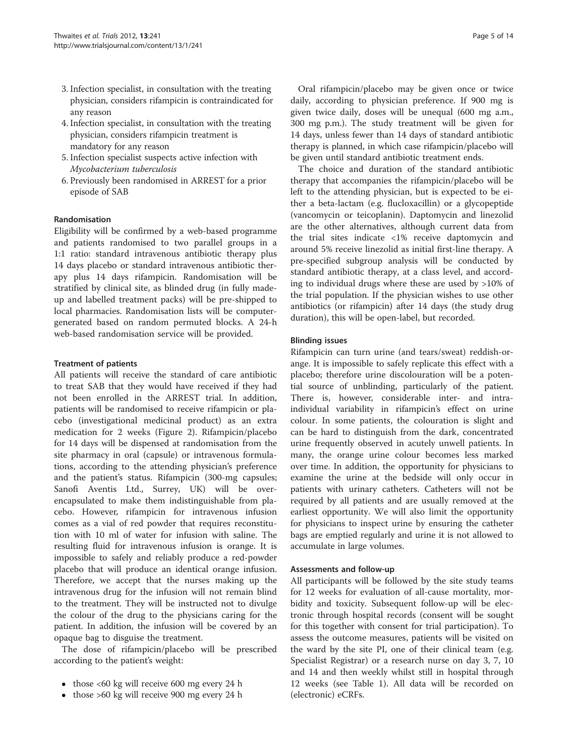- 3. Infection specialist, in consultation with the treating physician, considers rifampicin is contraindicated for any reason
- 4. Infection specialist, in consultation with the treating physician, considers rifampicin treatment is mandatory for any reason
- 5. Infection specialist suspects active infection with Mycobacterium tuberculosis
- 6. Previously been randomised in ARREST for a prior episode of SAB

#### Randomisation

Eligibility will be confirmed by a web-based programme and patients randomised to two parallel groups in a 1:1 ratio: standard intravenous antibiotic therapy plus 14 days placebo or standard intravenous antibiotic therapy plus 14 days rifampicin. Randomisation will be stratified by clinical site, as blinded drug (in fully madeup and labelled treatment packs) will be pre-shipped to local pharmacies. Randomisation lists will be computergenerated based on random permuted blocks. A 24-h web-based randomisation service will be provided.

#### Treatment of patients

All patients will receive the standard of care antibiotic to treat SAB that they would have received if they had not been enrolled in the ARREST trial. In addition, patients will be randomised to receive rifampicin or placebo (investigational medicinal product) as an extra medication for 2 weeks (Figure [2](#page-5-0)). Rifampicin/placebo for 14 days will be dispensed at randomisation from the site pharmacy in oral (capsule) or intravenous formulations, according to the attending physician's preference and the patient's status. Rifampicin (300-mg capsules; Sanofi Aventis Ltd., Surrey, UK) will be overencapsulated to make them indistinguishable from placebo. However, rifampicin for intravenous infusion comes as a vial of red powder that requires reconstitution with 10 ml of water for infusion with saline. The resulting fluid for intravenous infusion is orange. It is impossible to safely and reliably produce a red-powder placebo that will produce an identical orange infusion. Therefore, we accept that the nurses making up the intravenous drug for the infusion will not remain blind to the treatment. They will be instructed not to divulge the colour of the drug to the physicians caring for the patient. In addition, the infusion will be covered by an opaque bag to disguise the treatment.

The dose of rifampicin/placebo will be prescribed according to the patient's weight:

- those  $<60$  kg will receive 600 mg every 24 h
- those >60 kg will receive 900 mg every 24 h

Oral rifampicin/placebo may be given once or twice daily, according to physician preference. If 900 mg is given twice daily, doses will be unequal (600 mg a.m., 300 mg p.m.). The study treatment will be given for 14 days, unless fewer than 14 days of standard antibiotic therapy is planned, in which case rifampicin/placebo will be given until standard antibiotic treatment ends.

The choice and duration of the standard antibiotic therapy that accompanies the rifampicin/placebo will be left to the attending physician, but is expected to be either a beta-lactam (e.g. flucloxacillin) or a glycopeptide (vancomycin or teicoplanin). Daptomycin and linezolid are the other alternatives, although current data from the trial sites indicate <1% receive daptomycin and around 5% receive linezolid as initial first-line therapy. A pre-specified subgroup analysis will be conducted by standard antibiotic therapy, at a class level, and according to individual drugs where these are used by >10% of the trial population. If the physician wishes to use other antibiotics (or rifampicin) after 14 days (the study drug duration), this will be open-label, but recorded.

#### Blinding issues

Rifampicin can turn urine (and tears/sweat) reddish-orange. It is impossible to safely replicate this effect with a placebo; therefore urine discolouration will be a potential source of unblinding, particularly of the patient. There is, however, considerable inter- and intraindividual variability in rifampicin's effect on urine colour. In some patients, the colouration is slight and can be hard to distinguish from the dark, concentrated urine frequently observed in acutely unwell patients. In many, the orange urine colour becomes less marked over time. In addition, the opportunity for physicians to examine the urine at the bedside will only occur in patients with urinary catheters. Catheters will not be required by all patients and are usually removed at the earliest opportunity. We will also limit the opportunity for physicians to inspect urine by ensuring the catheter bags are emptied regularly and urine it is not allowed to accumulate in large volumes.

#### Assessments and follow-up

All participants will be followed by the site study teams for 12 weeks for evaluation of all-cause mortality, morbidity and toxicity. Subsequent follow-up will be electronic through hospital records (consent will be sought for this together with consent for trial participation). To assess the outcome measures, patients will be visited on the ward by the site PI, one of their clinical team (e.g. Specialist Registrar) or a research nurse on day 3, 7, 10 and 14 and then weekly whilst still in hospital through 12 weeks (see Table [1](#page-6-0)). All data will be recorded on (electronic) eCRFs.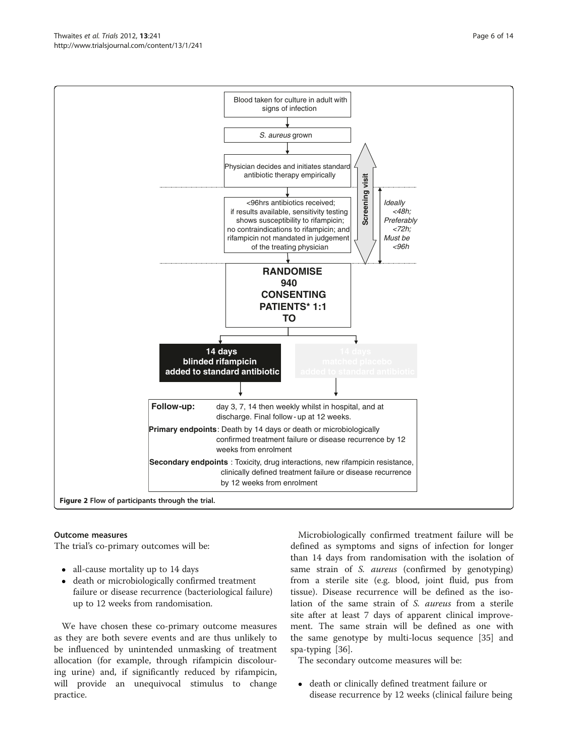## Outcome measures

The trial's co-primary outcomes will be:

- all-cause mortality up to 14 days
- death or microbiologically confirmed treatment failure or disease recurrence (bacteriological failure) up to 12 weeks from randomisation.

We have chosen these co-primary outcome measures as they are both severe events and are thus unlikely to be influenced by unintended unmasking of treatment allocation (for example, through rifampicin discolouring urine) and, if significantly reduced by rifampicin, will provide an unequivocal stimulus to change practice.

Microbiologically confirmed treatment failure will be defined as symptoms and signs of infection for longer than 14 days from randomisation with the isolation of same strain of S. aureus (confirmed by genotyping) from a sterile site (e.g. blood, joint fluid, pus from tissue). Disease recurrence will be defined as the isolation of the same strain of S. aureus from a sterile site after at least 7 days of apparent clinical improvement. The same strain will be defined as one with the same genotype by multi-locus sequence [[35\]](#page-13-0) and spa-typing [[36\]](#page-13-0).

The secondary outcome measures will be:

• death or clinically defined treatment failure or disease recurrence by 12 weeks (clinical failure being

<span id="page-5-0"></span>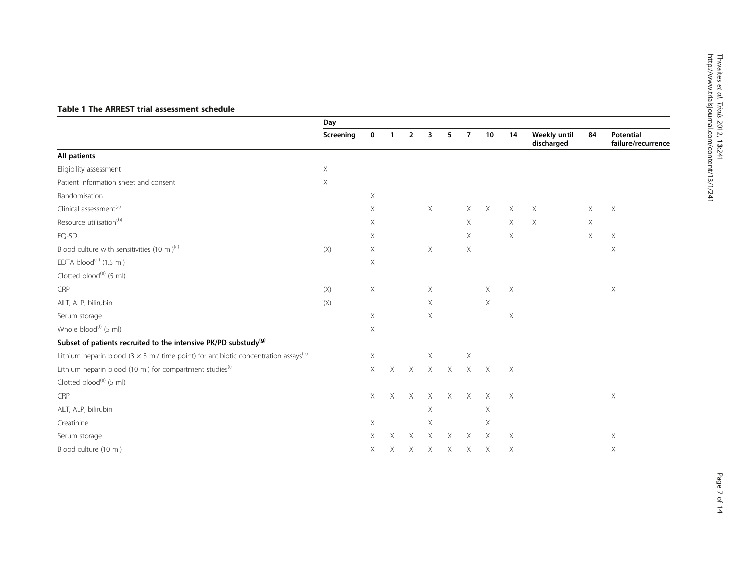## <span id="page-6-0"></span>Table 1 The ARREST trial assessment schedule

|                                                                                                        | Day        |             |              |                |             |              |                |              |             |                                   |          |                                 |
|--------------------------------------------------------------------------------------------------------|------------|-------------|--------------|----------------|-------------|--------------|----------------|--------------|-------------|-----------------------------------|----------|---------------------------------|
|                                                                                                        | Screening  | 0           | $\mathbf{1}$ | $\overline{2}$ | 3           | 5            | $\overline{7}$ | 10           | 14          | <b>Weekly until</b><br>discharged | 84       | Potential<br>failure/recurrence |
| All patients                                                                                           |            |             |              |                |             |              |                |              |             |                                   |          |                                 |
| Eligibility assessment                                                                                 | $\times$   |             |              |                |             |              |                |              |             |                                   |          |                                 |
| Patient information sheet and consent                                                                  | $\times$   |             |              |                |             |              |                |              |             |                                   |          |                                 |
| Randomisation                                                                                          |            | X           |              |                |             |              |                |              |             |                                   |          |                                 |
| Clinical assessment <sup>(a)</sup>                                                                     |            | X           |              |                | $\times$    |              | X              | $\times$     | $\times$    | $\times$                          | X.       | X                               |
| Resource utilisation <sup>(b)</sup>                                                                    |            | Χ           |              |                |             |              | $\times$       |              | $\mathsf X$ | $\times$                          | $\times$ |                                 |
| EQ-5D                                                                                                  |            | X           |              |                |             |              | X              |              | $\times$    |                                   | X        | Χ                               |
| Blood culture with sensitivities (10 ml) <sup>(c)</sup>                                                | $(\times)$ | Χ           |              |                | Χ           |              | X              |              |             |                                   |          | $\boldsymbol{\times}$           |
| EDTA blood <sup>(d)</sup> $(1.5 \text{ ml})$                                                           |            | $\mathsf X$ |              |                |             |              |                |              |             |                                   |          |                                 |
| Clotted blood <sup>(e)</sup> (5 ml)                                                                    |            |             |              |                |             |              |                |              |             |                                   |          |                                 |
| CRP                                                                                                    | (X)        | Χ           |              |                | Χ           |              |                | $\times$     | $\times$    |                                   |          | X                               |
| ALT, ALP, bilirubin                                                                                    | $(\times)$ |             |              |                | X           |              |                | $\mathsf X$  |             |                                   |          |                                 |
| Serum storage                                                                                          |            | Χ           |              |                | X           |              |                |              | $\mathsf X$ |                                   |          |                                 |
| Whole blood <sup>(f)</sup> (5 ml)                                                                      |            | X           |              |                |             |              |                |              |             |                                   |          |                                 |
| Subset of patients recruited to the intensive PK/PD substudy <sup>(g)</sup>                            |            |             |              |                |             |              |                |              |             |                                   |          |                                 |
| Lithium heparin blood (3 $\times$ 3 ml/ time point) for antibiotic concentration assays <sup>(h)</sup> |            | Χ           |              |                | $\times$    |              | X              |              |             |                                   |          |                                 |
| Lithium heparin blood (10 ml) for compartment studies <sup>(i)</sup>                                   |            | $\times$    | $\mathsf{X}$ | $\times$       | X           | $\mathsf{X}$ | $\times$       | $\mathsf{X}$ | $\times$    |                                   |          |                                 |
| Clotted blood <sup>(e)</sup> (5 ml)                                                                    |            |             |              |                |             |              |                |              |             |                                   |          |                                 |
| CRP                                                                                                    |            | Χ           | $\times$     | $\times$       | Χ           | $\times$     | $\times$       | $\times$     | $\times$    |                                   |          | $\times$                        |
| ALT, ALP, bilirubin                                                                                    |            |             |              |                | Χ           |              |                | X            |             |                                   |          |                                 |
| Creatinine                                                                                             |            | X           |              |                | $\mathsf X$ |              |                | X            |             |                                   |          |                                 |
| Serum storage                                                                                          |            | X           | X            | Χ              | X           | Χ            | Χ              | $\times$     | $\times$    |                                   |          | Χ                               |
| Blood culture (10 ml)                                                                                  |            | X           | Χ            | Χ              | Χ           | Χ            | X              | X            | $\times$    |                                   |          | X                               |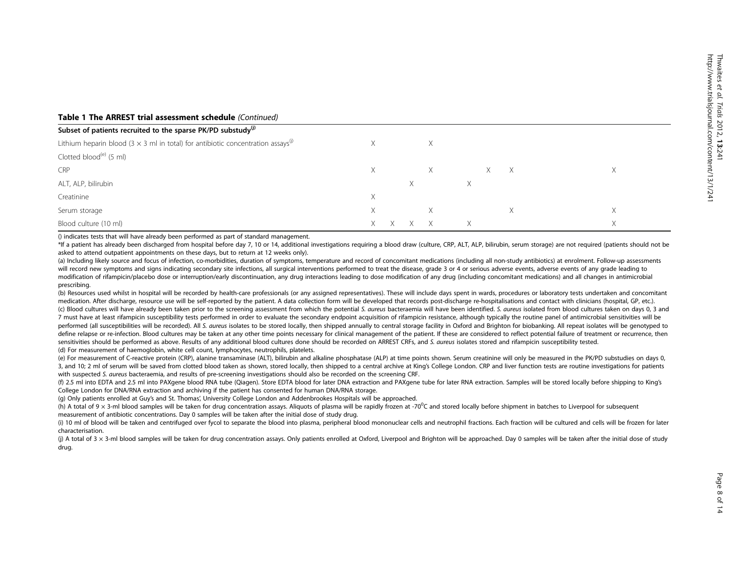#### Table 1 The ARREST trial assessment schedule (Continued)

| Subset of patients recruited to the sparse PK/PD substudy <sup>(j)</sup>                            |   |    |          |   |              |  |
|-----------------------------------------------------------------------------------------------------|---|----|----------|---|--------------|--|
| Lithium heparin blood (3 $\times$ 3 ml in total) for antibiotic concentration assays <sup>(i)</sup> | Χ |    | X        |   |              |  |
| Clotted blood <sup>(e)</sup> (5 ml)                                                                 |   |    |          |   |              |  |
| <b>CRP</b>                                                                                          | X |    | $\times$ |   | $\mathsf{X}$ |  |
| ALT, ALP, bilirubin                                                                                 |   | X. |          | X |              |  |
| Creatinine                                                                                          | Χ |    |          |   |              |  |
| Serum storage                                                                                       | X |    | X        |   |              |  |
| Blood culture (10 ml)                                                                               |   |    |          | X |              |  |

() indicates tests that will have already been performed as part of standard management.

\*If a patient has already been discharged from hospital before day 7, 10 or 14, additional investigations requiring a blood draw (culture, CRP, ALT, ALP, bilirubin, serum storage) are not required (patients should not be asked to attend outpatient appointments on these days, but to return at 12 weeks only).

(a) Including likely source and focus of infection, co-morbidities, duration of symptoms, temperature and record of concomitant medications (including all non-study antibiotics) at enrolment. Follow-up assessments will record new symptoms and signs indicating secondary site infections, all surgical interventions performed to treat the disease, grade 3 or 4 or serious adverse events, adverse events of any grade leading to modification of rifampicin/placebo dose or interruption/early discontinuation, any drug interactions leading to dose modification of any drug (including concomitant medications) and all changes in antimicrobial prescribing.

(b) Resources used whilst in hospital will be recorded by health-care professionals (or any assigned representatives). These will include days spent in wards, procedures or laboratory tests undertaken and concomitant medication. After discharge, resource use will be self-reported by the patient. A data collection form will be developed that records post-discharge re-hospitalisations and contact with clinicians (hospital, GP, etc.). (c) Blood cultures will have already been taken prior to the screening assessment from which the potential S. aureus bacteraemia will have been identified. S. aureus isolated from blood cultures taken on days 0, 3 and 7 must have at least rifampicin susceptibility tests performed in order to evaluate the secondary endpoint acquisition of rifampicin resistance, although typically the routine panel of antimicrobial sensitivities will be performed (all susceptibilities will be recorded). All S. *qureus* isolates to be stored locally, then shipped annually to central storage facility in Oxford and Brighton for biobanking. All repeat isolates will be genotyp define relapse or re-infection. Blood cultures may be taken at any other time points necessary for clinical management of the patient. If these are considered to reflect potential failure of treatment or recurrence, then sensitivities should be performed as above. Results of any additional blood cultures done should be recorded on ARREST CRFs, and S. aureus isolates stored and rifampicin susceptibility tested. (d) For measurement of haemoglobin, white cell count, lymphocytes, neutrophils, platelets.

(e) For measurement of C-reactive protein (CRP), alanine transaminase (ALT), bilirubin and alkaline phosphatase (ALP) at time points shown. Serum creatinine will only be measured in the PK/PD substudies on days 0, 3, and 10; 2 ml of serum will be saved from clotted blood taken as shown, stored locally, then shipped to a central archive at King's College London. CRP and liver function tests are routine investigations for patients with suspected S. aureus bacteraemia, and results of pre-screening investigations should also be recorded on the screening CRF.

(f) 2.5 ml into EDTA and 2.5 ml into PAXgene blood RNA tube (Qiagen). Store EDTA blood for later DNA extraction and PAXgene tube for later RNA extraction. Samples will be stored locally before shipping to King's College London for DNA/RNA extraction and archiving if the patient has consented for human DNA/RNA storage.

(g) Only patients enrolled at Guy's and St. Thomas', University College London and Addenbrookes Hospitals will be approached.

(h) A total of 9 x 3-ml blood samples will be taken for drug concentration assays. Aliquots of plasma will be rapidly frozen at -70°C and stored locally before shipment in batches to Liverpool for subsequent measurement of antibiotic concentrations. Day 0 samples will be taken after the initial dose of study drug.

(i) 10 ml of blood will be taken and centrifuged over fycol to separate the blood into plasma, peripheral blood mononuclear cells and neutrophil fractions. Each fraction will be cultured and cells will be frozen for later characterisation.

(j) A total of 3 x 3-ml blood samples will be taken for drug concentration assays. Only patients enrolled at Oxford, Liverpool and Brighton will be approached. Day 0 samples will be taken after the initial dose of study drug.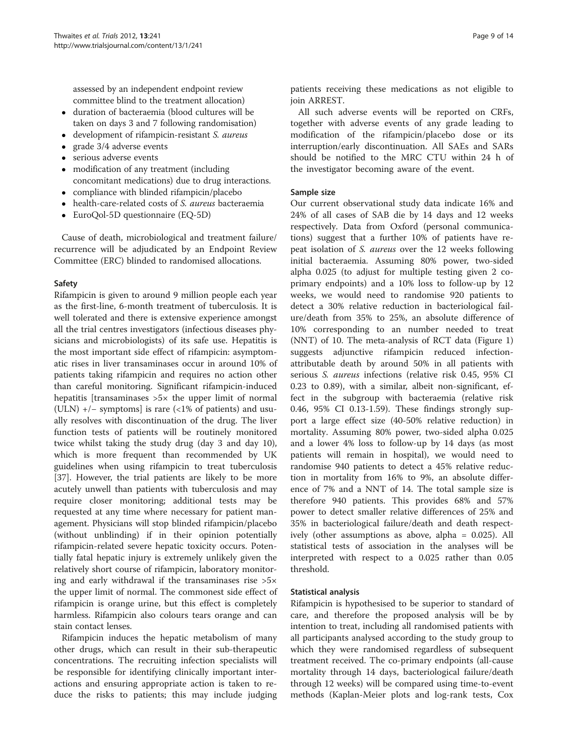assessed by an independent endpoint review committee blind to the treatment allocation)

- duration of bacteraemia (blood cultures will be taken on days 3 and 7 following randomisation)
- development of rifampicin-resistant S. aureus
- grade 3/4 adverse events
- serious adverse events
- modification of any treatment (including concomitant medications) due to drug interactions.
- compliance with blinded rifampicin/placebo
- health-care-related costs of S. aureus bacteraemia
- EuroQol-5D questionnaire (EQ-5D)

Cause of death, microbiological and treatment failure/ recurrence will be adjudicated by an Endpoint Review Committee (ERC) blinded to randomised allocations.

## Safety

Rifampicin is given to around 9 million people each year as the first-line, 6-month treatment of tuberculosis. It is well tolerated and there is extensive experience amongst all the trial centres investigators (infectious diseases physicians and microbiologists) of its safe use. Hepatitis is the most important side effect of rifampicin: asymptomatic rises in liver transaminases occur in around 10% of patients taking rifampicin and requires no action other than careful monitoring. Significant rifampicin-induced hepatitis [transaminases  $>5\times$  the upper limit of normal (ULN) +/− symptoms] is rare (<1% of patients) and usually resolves with discontinuation of the drug. The liver function tests of patients will be routinely monitored twice whilst taking the study drug (day 3 and day 10), which is more frequent than recommended by UK guidelines when using rifampicin to treat tuberculosis [[37\]](#page-13-0). However, the trial patients are likely to be more acutely unwell than patients with tuberculosis and may require closer monitoring; additional tests may be requested at any time where necessary for patient management. Physicians will stop blinded rifampicin/placebo (without unblinding) if in their opinion potentially rifampicin-related severe hepatic toxicity occurs. Potentially fatal hepatic injury is extremely unlikely given the relatively short course of rifampicin, laboratory monitoring and early withdrawal if the transaminases rise  $>5\times$ the upper limit of normal. The commonest side effect of rifampicin is orange urine, but this effect is completely harmless. Rifampicin also colours tears orange and can stain contact lenses.

Rifampicin induces the hepatic metabolism of many other drugs, which can result in their sub-therapeutic concentrations. The recruiting infection specialists will be responsible for identifying clinically important interactions and ensuring appropriate action is taken to reduce the risks to patients; this may include judging

patients receiving these medications as not eligible to join ARREST.

All such adverse events will be reported on CRFs, together with adverse events of any grade leading to modification of the rifampicin/placebo dose or its interruption/early discontinuation. All SAEs and SARs should be notified to the MRC CTU within 24 h of the investigator becoming aware of the event.

## Sample size

Our current observational study data indicate 16% and 24% of all cases of SAB die by 14 days and 12 weeks respectively. Data from Oxford (personal communications) suggest that a further 10% of patients have repeat isolation of S. aureus over the 12 weeks following initial bacteraemia. Assuming 80% power, two-sided alpha 0.025 (to adjust for multiple testing given 2 coprimary endpoints) and a 10% loss to follow-up by 12 weeks, we would need to randomise 920 patients to detect a 30% relative reduction in bacteriological failure/death from 35% to 25%, an absolute difference of 10% corresponding to an number needed to treat (NNT) of 10. The meta-analysis of RCT data (Figure [1](#page-2-0)) suggests adjunctive rifampicin reduced infectionattributable death by around 50% in all patients with serious S. aureus infections (relative risk 0.45, 95% CI 0.23 to 0.89), with a similar, albeit non-significant, effect in the subgroup with bacteraemia (relative risk 0.46, 95% CI 0.13-1.59). These findings strongly support a large effect size (40-50% relative reduction) in mortality. Assuming 80% power, two-sided alpha 0.025 and a lower 4% loss to follow-up by 14 days (as most patients will remain in hospital), we would need to randomise 940 patients to detect a 45% relative reduction in mortality from 16% to 9%, an absolute difference of 7% and a NNT of 14. The total sample size is therefore 940 patients. This provides 68% and 57% power to detect smaller relative differences of 25% and 35% in bacteriological failure/death and death respectively (other assumptions as above, alpha = 0.025). All statistical tests of association in the analyses will be interpreted with respect to a 0.025 rather than 0.05 threshold.

## Statistical analysis

Rifampicin is hypothesised to be superior to standard of care, and therefore the proposed analysis will be by intention to treat, including all randomised patients with all participants analysed according to the study group to which they were randomised regardless of subsequent treatment received. The co-primary endpoints (all-cause mortality through 14 days, bacteriological failure/death through 12 weeks) will be compared using time-to-event methods (Kaplan-Meier plots and log-rank tests, Cox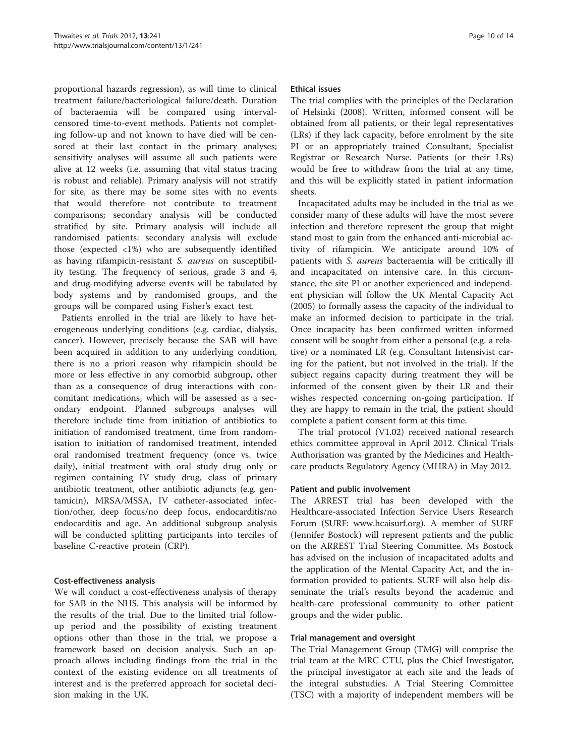proportional hazards regression), as will time to clinical treatment failure/bacteriological failure/death. Duration of bacteraemia will be compared using intervalcensored time-to-event methods. Patients not completing follow-up and not known to have died will be censored at their last contact in the primary analyses; sensitivity analyses will assume all such patients were alive at 12 weeks (i.e. assuming that vital status tracing is robust and reliable). Primary analysis will not stratify for site, as there may be some sites with no events that would therefore not contribute to treatment comparisons; secondary analysis will be conducted stratified by site. Primary analysis will include all randomised patients: secondary analysis will exclude those (expected  $\langle 1\% \rangle$  who are subsequently identified as having rifampicin-resistant S. aureus on susceptibility testing. The frequency of serious, grade 3 and 4, and drug-modifying adverse events will be tabulated by body systems and by randomised groups, and the groups will be compared using Fisher's exact test.

Patients enrolled in the trial are likely to have heterogeneous underlying conditions (e.g. cardiac, dialysis, cancer). However, precisely because the SAB will have been acquired in addition to any underlying condition, there is no a priori reason why rifampicin should be more or less effective in any comorbid subgroup, other than as a consequence of drug interactions with concomitant medications, which will be assessed as a secondary endpoint. Planned subgroups analyses will therefore include time from initiation of antibiotics to initiation of randomised treatment, time from randomisation to initiation of randomised treatment, intended oral randomised treatment frequency (once vs. twice daily), initial treatment with oral study drug only or regimen containing IV study drug, class of primary antibiotic treatment, other antibiotic adjuncts (e.g. gentamicin), MRSA/MSSA, IV catheter-associated infection/other, deep focus/no deep focus, endocarditis/no endocarditis and age. An additional subgroup analysis will be conducted splitting participants into terciles of baseline C-reactive protein (CRP).

## Cost-effectiveness analysis

We will conduct a cost-effectiveness analysis of therapy for SAB in the NHS. This analysis will be informed by the results of the trial. Due to the limited trial followup period and the possibility of existing treatment options other than those in the trial, we propose a framework based on decision analysis. Such an approach allows including findings from the trial in the context of the existing evidence on all treatments of interest and is the preferred approach for societal decision making in the UK.

## Ethical issues

The trial complies with the principles of the Declaration of Helsinki (2008). Written, informed consent will be obtained from all patients, or their legal representatives (LRs) if they lack capacity, before enrolment by the site PI or an appropriately trained Consultant, Specialist Registrar or Research Nurse. Patients (or their LRs) would be free to withdraw from the trial at any time, and this will be explicitly stated in patient information sheets.

Incapacitated adults may be included in the trial as we consider many of these adults will have the most severe infection and therefore represent the group that might stand most to gain from the enhanced anti-microbial activity of rifampicin. We anticipate around 10% of patients with S. aureus bacteraemia will be critically ill and incapacitated on intensive care. In this circumstance, the site PI or another experienced and independent physician will follow the UK Mental Capacity Act (2005) to formally assess the capacity of the individual to make an informed decision to participate in the trial. Once incapacity has been confirmed written informed consent will be sought from either a personal (e.g. a relative) or a nominated LR (e.g. Consultant Intensivist caring for the patient, but not involved in the trial). If the subject regains capacity during treatment they will be informed of the consent given by their LR and their wishes respected concerning on-going participation. If they are happy to remain in the trial, the patient should complete a patient consent form at this time.

The trial protocol (V1.02) received national research ethics committee approval in April 2012. Clinical Trials Authorisation was granted by the Medicines and Healthcare products Regulatory Agency (MHRA) in May 2012.

## Patient and public involvement

The ARREST trial has been developed with the Healthcare-associated Infection Service Users Research Forum (SURF: [www.hcaisurf.org](http://www.hcaisurf.org)). A member of SURF (Jennifer Bostock) will represent patients and the public on the ARREST Trial Steering Committee. Ms Bostock has advised on the inclusion of incapacitated adults and the application of the Mental Capacity Act, and the information provided to patients. SURF will also help disseminate the trial's results beyond the academic and health-care professional community to other patient groups and the wider public.

## Trial management and oversight

The Trial Management Group (TMG) will comprise the trial team at the MRC CTU, plus the Chief Investigator, the principal investigator at each site and the leads of the integral substudies. A Trial Steering Committee (TSC) with a majority of independent members will be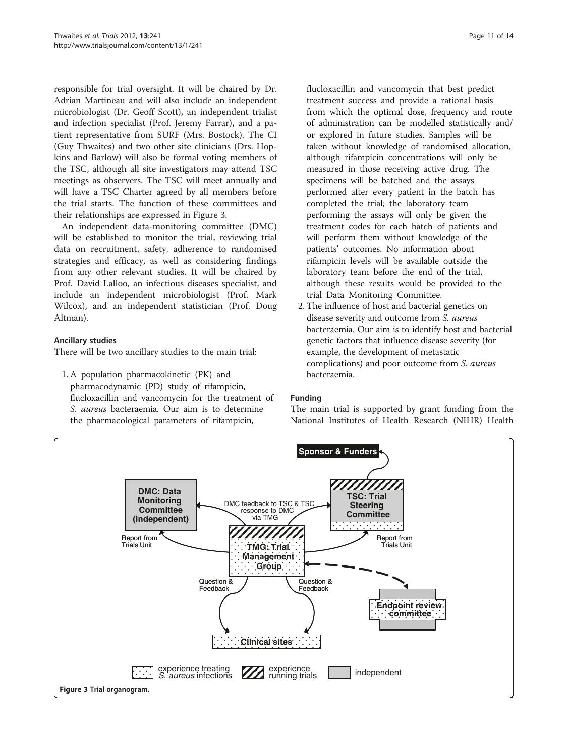responsible for trial oversight. It will be chaired by Dr. Adrian Martineau and will also include an independent microbiologist (Dr. Geoff Scott), an independent trialist and infection specialist (Prof. Jeremy Farrar), and a patient representative from SURF (Mrs. Bostock). The CI (Guy Thwaites) and two other site clinicians (Drs. Hopkins and Barlow) will also be formal voting members of the TSC, although all site investigators may attend TSC meetings as observers. The TSC will meet annually and will have a TSC Charter agreed by all members before the trial starts. The function of these committees and their relationships are expressed in Figure 3.

An independent data-monitoring committee (DMC) will be established to monitor the trial, reviewing trial data on recruitment, safety, adherence to randomised strategies and efficacy, as well as considering findings from any other relevant studies. It will be chaired by Prof. David Lalloo, an infectious diseases specialist, and include an independent microbiologist (Prof. Mark Wilcox), and an independent statistician (Prof. Doug Altman).

## Ancillary studies

There will be two ancillary studies to the main trial:

1. A population pharmacokinetic (PK) and pharmacodynamic (PD) study of rifampicin, flucloxacillin and vancomycin for the treatment of S. aureus bacteraemia. Our aim is to determine the pharmacological parameters of rifampicin,

flucloxacillin and vancomycin that best predict treatment success and provide a rational basis from which the optimal dose, frequency and route of administration can be modelled statistically and/ or explored in future studies. Samples will be taken without knowledge of randomised allocation, although rifampicin concentrations will only be measured in those receiving active drug. The specimens will be batched and the assays performed after every patient in the batch has completed the trial; the laboratory team performing the assays will only be given the treatment codes for each batch of patients and will perform them without knowledge of the patients' outcomes. No information about rifampicin levels will be available outside the laboratory team before the end of the trial, although these results would be provided to the trial Data Monitoring Committee.

2. The influence of host and bacterial genetics on disease severity and outcome from S. aureus bacteraemia. Our aim is to identify host and bacterial genetic factors that influence disease severity (for example, the development of metastatic complications) and poor outcome from S. aureus bacteraemia.

## Funding

The main trial is supported by grant funding from the National Institutes of Health Research (NIHR) Health

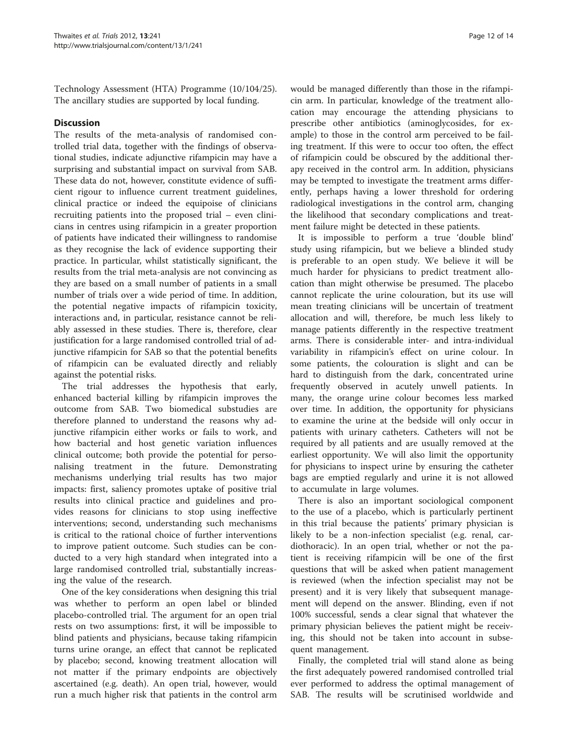Technology Assessment (HTA) Programme (10/104/25). The ancillary studies are supported by local funding.

## **Discussion**

The results of the meta-analysis of randomised controlled trial data, together with the findings of observational studies, indicate adjunctive rifampicin may have a surprising and substantial impact on survival from SAB. These data do not, however, constitute evidence of sufficient rigour to influence current treatment guidelines, clinical practice or indeed the equipoise of clinicians recruiting patients into the proposed trial – even clinicians in centres using rifampicin in a greater proportion of patients have indicated their willingness to randomise as they recognise the lack of evidence supporting their practice. In particular, whilst statistically significant, the results from the trial meta-analysis are not convincing as they are based on a small number of patients in a small number of trials over a wide period of time. In addition, the potential negative impacts of rifampicin toxicity, interactions and, in particular, resistance cannot be reliably assessed in these studies. There is, therefore, clear justification for a large randomised controlled trial of adjunctive rifampicin for SAB so that the potential benefits of rifampicin can be evaluated directly and reliably against the potential risks.

The trial addresses the hypothesis that early, enhanced bacterial killing by rifampicin improves the outcome from SAB. Two biomedical substudies are therefore planned to understand the reasons why adjunctive rifampicin either works or fails to work, and how bacterial and host genetic variation influences clinical outcome; both provide the potential for personalising treatment in the future. Demonstrating mechanisms underlying trial results has two major impacts: first, saliency promotes uptake of positive trial results into clinical practice and guidelines and provides reasons for clinicians to stop using ineffective interventions; second, understanding such mechanisms is critical to the rational choice of further interventions to improve patient outcome. Such studies can be conducted to a very high standard when integrated into a large randomised controlled trial, substantially increasing the value of the research.

One of the key considerations when designing this trial was whether to perform an open label or blinded placebo-controlled trial. The argument for an open trial rests on two assumptions: first, it will be impossible to blind patients and physicians, because taking rifampicin turns urine orange, an effect that cannot be replicated by placebo; second, knowing treatment allocation will not matter if the primary endpoints are objectively ascertained (e.g. death). An open trial, however, would run a much higher risk that patients in the control arm

would be managed differently than those in the rifampicin arm. In particular, knowledge of the treatment allocation may encourage the attending physicians to prescribe other antibiotics (aminoglycosides, for example) to those in the control arm perceived to be failing treatment. If this were to occur too often, the effect of rifampicin could be obscured by the additional therapy received in the control arm. In addition, physicians may be tempted to investigate the treatment arms differently, perhaps having a lower threshold for ordering radiological investigations in the control arm, changing the likelihood that secondary complications and treatment failure might be detected in these patients.

It is impossible to perform a true 'double blind' study using rifampicin, but we believe a blinded study is preferable to an open study. We believe it will be much harder for physicians to predict treatment allocation than might otherwise be presumed. The placebo cannot replicate the urine colouration, but its use will mean treating clinicians will be uncertain of treatment allocation and will, therefore, be much less likely to manage patients differently in the respective treatment arms. There is considerable inter- and intra-individual variability in rifampicin's effect on urine colour. In some patients, the colouration is slight and can be hard to distinguish from the dark, concentrated urine frequently observed in acutely unwell patients. In many, the orange urine colour becomes less marked over time. In addition, the opportunity for physicians to examine the urine at the bedside will only occur in patients with urinary catheters. Catheters will not be required by all patients and are usually removed at the earliest opportunity. We will also limit the opportunity for physicians to inspect urine by ensuring the catheter bags are emptied regularly and urine it is not allowed to accumulate in large volumes.

There is also an important sociological component to the use of a placebo, which is particularly pertinent in this trial because the patients' primary physician is likely to be a non-infection specialist (e.g. renal, cardiothoracic). In an open trial, whether or not the patient is receiving rifampicin will be one of the first questions that will be asked when patient management is reviewed (when the infection specialist may not be present) and it is very likely that subsequent management will depend on the answer. Blinding, even if not 100% successful, sends a clear signal that whatever the primary physician believes the patient might be receiving, this should not be taken into account in subsequent management.

Finally, the completed trial will stand alone as being the first adequately powered randomised controlled trial ever performed to address the optimal management of SAB. The results will be scrutinised worldwide and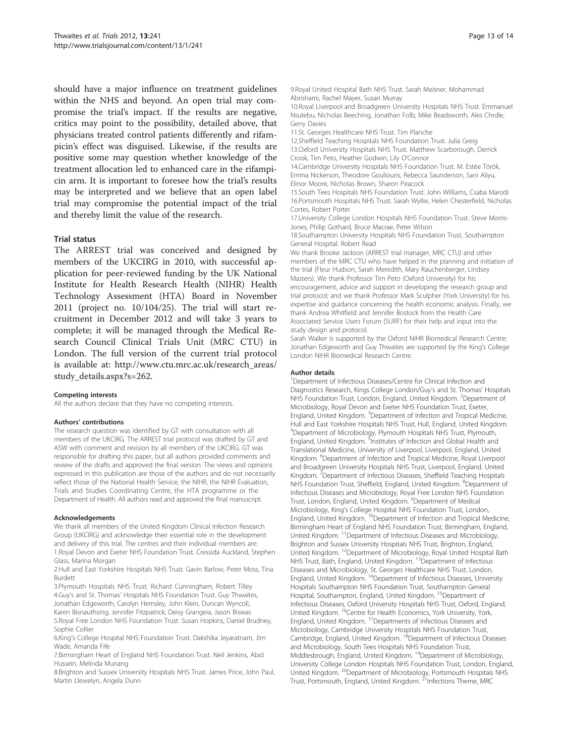should have a major influence on treatment guidelines within the NHS and beyond. An open trial may compromise the trial's impact. If the results are negative, critics may point to the possibility, detailed above, that physicians treated control patients differently and rifampicin's effect was disguised. Likewise, if the results are positive some may question whether knowledge of the treatment allocation led to enhanced care in the rifampicin arm. It is important to foresee how the trial's results may be interpreted and we believe that an open label trial may compromise the potential impact of the trial and thereby limit the value of the research.

#### Trial status

The ARREST trial was conceived and designed by members of the UKCIRG in 2010, with successful application for peer-reviewed funding by the UK National Institute for Health Research Health (NIHR) Health Technology Assessment (HTA) Board in November 2011 (project no. 10/104/25). The trial will start recruitment in December 2012 and will take 3 years to complete; it will be managed through the Medical Research Council Clinical Trials Unit (MRC CTU) in London. The full version of the current trial protocol is available at: [http://www.ctu.mrc.ac.uk/research\\_areas/](http://www.ctu.mrc.ac.uk/research_areas/study_details.aspx?s=262) [study\\_details.aspx?s=262.](http://www.ctu.mrc.ac.uk/research_areas/study_details.aspx?s=262)

#### Competing interests

All the authors declare that they have no competing interests.

#### Authors' contributions

The research question was identified by GT with consultation with all members of the UKCIRG. The ARREST trial protocol was drafted by GT and ASW with comment and revision by all members of the UKCIRG. GT was responsible for drafting this paper, but all authors provided comments and review of the drafts and approved the final version. The views and opinions expressed in this publication are those of the authors and do not necessarily reflect those of the National Health Service, the NIHR, the NIHR Evaluation, Trials and Studies Coordinating Centre, the HTA programme or the Department of Health. All authors read and approved the final manuscript.

#### Acknowledgements

We thank all members of the United Kingdom Clinical Infection Research Group (UKCIRG) and acknowledge their essential role in the development and delivery of this trial. The centres and their individual members are: 1.Royal Devon and Exeter NHS Foundation Trust. Cressida Auckland, Stephen Glass, Marina Morgan

2.Hull and East Yorkshire Hospitals NHS Trust. Gavin Barlow, Peter Moss, Tina Burdett

3.Plymouth Hospitals NHS Trust. Richard Cunningham, Robert Tilley 4.Guy's and St. Thomas' Hospitals NHS Foundation Trust. Guy Thwaites, Jonathan Edgeworth, Carolyn Hemsley, John Klein, Duncan Wyncoll, Karen Bisnauthsing, Jennifer Fitzpatrick, Deisy Grangeia, Jason Biswas 5.Royal Free London NHS Foundation Trust. Susan Hopkins, Daniel Brudney, Sophie Collier

6.King's College Hospital NHS Foundation Trust. Dakshika Jeyaratnam, Jim Wade, Amanda Fife

7.Birmingham Heart of England NHS Foundation Trust. Neil Jenkins, Abid Hussein, Melinda Munang

8.Brighton and Sussex University Hospitals NHS Trust. James Price, John Paul, Martin Llewelyn, Angela Dunn

9.Royal United Hospital Bath NHS Trust. Sarah Meisner, Mohammad Abrishami, Rachel Mayer, Susan Murray

10.Royal Liverpool and Broadgreen University Hospitals NHS Trust. Emmanuel Nsutebu, Nicholas Beeching, Jonathan Folb, Mike Beadsworth, Ales Chrdle, Gerry Davies

11.St. Georges Healthcare NHS Trust. Tim Planche

12.Sheffield Teaching Hospitals NHS Foundation Trust. Julia Greig 13.Oxford University Hospitals NHS Trust. Matthew Scarborough, Derrick Crook, Tim Peto, Heather Godwin, Lily O'Connor

14.Cambridge University Hospitals NHS Foundation Trust. M. Estée Török, Emma Nickerson, Theodore Gouliouris, Rebecca Saunderson, Sani Aliyu, Elinor Moore, Nicholas Brown, Sharon Peacock

15.South Tees Hospitals NHS Foundation Trust. John Williams, Csaba Marodi 16.Portsmouth Hospitals NHS Trust. Sarah Wyllie, Helen Chesterfield, Nicholas Cortes, Robert Porter

17.University College London Hospitals NHS Foundation Trust. Steve Morris-Jones, Philip Gothard, Bruce Macrae, Peter Wilson

18.Southampton University Hospitals NHS Foundation Trust, Southampton General Hospital. Robert Read

We thank Brooke Jackson (ARREST trial manager, MRC CTU) and other members of the MRC CTU who have helped in the planning and initiation of the trial (Fleur Hudson, Sarah Meredith, Mary Rauchenberger, Lindsey Masters). We thank Professor Tim Peto (Oxford University) for his encouragement, advice and support in developing the research group and trial protocol; and we thank Professor Mark Sculpher (York University) for his expertise and guidance concerning the health economic analysis. Finally, we thank Andrea Whitfield and Jennifer Bostock from the Health Care Associated Service Users Forum (SURF) for their help and input into the study design and protocol.

Sarah Walker is supported by the Oxford NIHR Biomedical Research Centre; Jonathan Edgeworth and Guy Thwaites are supported by the King's College London NIHR Biomedical Research Centre.

#### Author details

<sup>1</sup>Department of Infectious Diseases/Centre for Clinical Infection and Diagnostics Research, Kings College London/Guy's and St. Thomas' Hospitals NHS Foundation Trust, London, England, United Kingdom. <sup>2</sup>Department of Microbiology, Royal Devon and Exeter NHS Foundation Trust, Exeter, England, United Kingdom. <sup>3</sup> Department of Infection and Tropical Medicine, Hull and East Yorkshire Hospitals NHS Trust, Hull, England, United Kingdom. 4 Department of Microbiology, Plymouth Hospitals NHS Trust, Plymouth, England, United Kingdom. <sup>5</sup>Institutes of Infection and Global Health and Translational Medicine, University of Liverpool, Liverpool, England, United Kingdom. <sup>6</sup>Department of Infection and Tropical Medicine, Royal Liverpool and Broadgreen University Hospitals NHS Trust, Liverpool, England, United Kingdom.<sup>7</sup> Department of Infectious Diseases, Sheffield Teaching Hospitals NHS Foundation Trust, Sheffield, England, United Kingdom. <sup>8</sup>Department of Infectious Diseases and Microbiology, Royal Free London NHS Foundation Trust, London, England, United Kingdom. <sup>9</sup>Department of Medical Microbiology, King's College Hospital NHS Foundation Trust, London, England, United Kingdom. <sup>10</sup>Department of Infection and Tropical Medicine, Birmingham Heart of England NHS Foundation Trust, Birmingham, England, United Kingdom. 11Department of Infectious Diseases and Microbiology, Brighton and Sussex University Hospitals NHS Trust, Brighton, England, United Kingdom. 12Department of Microbiology, Royal United Hospital Bath NHS Trust, Bath, England, United Kingdom. <sup>13</sup>Department of Infectious Diseases and Microbiology, St. Georges Healthcare NHS Trust, London, England, United Kingdom. 14Department of Infectious Diseases, University Hospitals Southampton NHS Foundation Trust, Southampton General Hospital, Southampton, England, United Kingdom. <sup>15</sup>Department of Infectious Diseases, Oxford University Hospitals NHS Trust, Oxford, England, United Kingdom. 16Centre for Health Economics, York University, York, England, United Kingdom. 17Departments of Infectious Diseases and Microbiology, Cambridge University Hospitals NHS Foundation Trust, Cambridge, England, United Kingdom. 18Department of Infectious Diseases and Microbiology, South Tees Hospitals NHS Foundation Trust, Middlesbrough, England, United Kingdom. 19Department of Microbiology, University College London Hospitals NHS Foundation Trust, London, England, United Kingdom. <sup>20</sup>Department of Microbiology, Portsmouth Hospitals NHS Trust, Portsmouth, England, United Kingdom. <sup>21</sup>Infections Theme, MRC